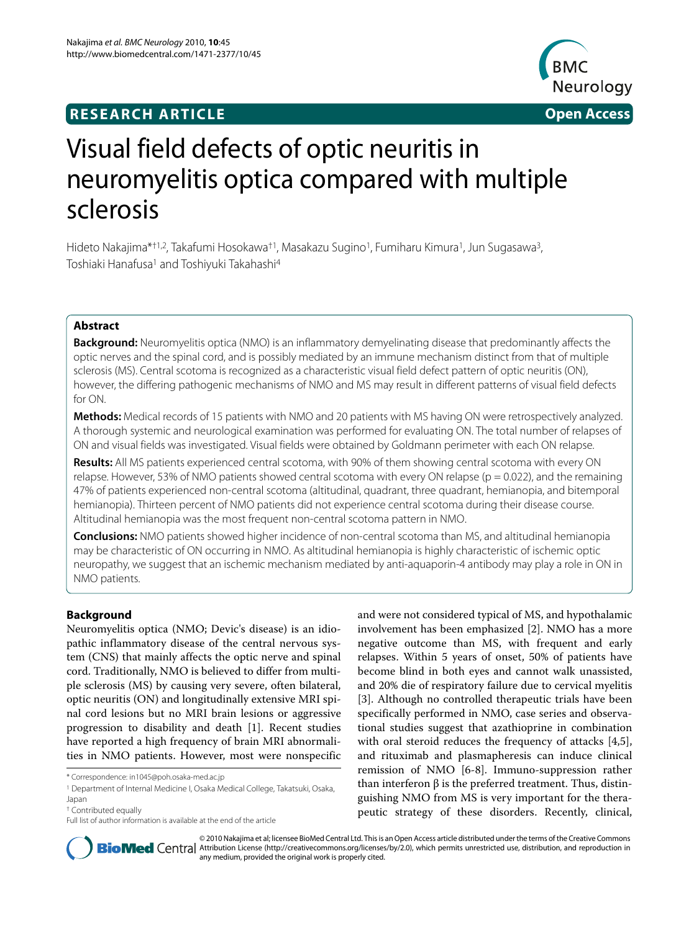# **RESEARCH ARTICLE Open Access**



# Visual field defects of optic neuritis in neuromyelitis optica compared with multiple sclerosis

Hideto Nakajima\*†1,2, Takafumi Hosokawa†1, Masakazu Sugino1, Fumiharu Kimura1, Jun Sugasawa3, Toshiaki Hanafusa<sup>1</sup> and Toshiyuki Takahashi<sup>4</sup>

# **Abstract**

**Background:** Neuromyelitis optica (NMO) is an inflammatory demyelinating disease that predominantly affects the optic nerves and the spinal cord, and is possibly mediated by an immune mechanism distinct from that of multiple sclerosis (MS). Central scotoma is recognized as a characteristic visual field defect pattern of optic neuritis (ON), however, the differing pathogenic mechanisms of NMO and MS may result in different patterns of visual field defects for ON.

**Methods:** Medical records of 15 patients with NMO and 20 patients with MS having ON were retrospectively analyzed. A thorough systemic and neurological examination was performed for evaluating ON. The total number of relapses of ON and visual fields was investigated. Visual fields were obtained by Goldmann perimeter with each ON relapse.

**Results:** All MS patients experienced central scotoma, with 90% of them showing central scotoma with every ON relapse. However, 53% of NMO patients showed central scotoma with every ON relapse ( $p = 0.022$ ), and the remaining 47% of patients experienced non-central scotoma (altitudinal, quadrant, three quadrant, hemianopia, and bitemporal hemianopia). Thirteen percent of NMO patients did not experience central scotoma during their disease course. Altitudinal hemianopia was the most frequent non-central scotoma pattern in NMO.

**Conclusions:** NMO patients showed higher incidence of non-central scotoma than MS, and altitudinal hemianopia may be characteristic of ON occurring in NMO. As altitudinal hemianopia is highly characteristic of ischemic optic neuropathy, we suggest that an ischemic mechanism mediated by anti-aquaporin-4 antibody may play a role in ON in NMO patients.

# **Background**

Neuromyelitis optica (NMO; Devic's disease) is an idiopathic inflammatory disease of the central nervous system (CNS) that mainly affects the optic nerve and spinal cord. Traditionally, NMO is believed to differ from multiple sclerosis (MS) by causing very severe, often bilateral, optic neuritis (ON) and longitudinally extensive MRI spinal cord lesions but no MRI brain lesions or aggressive progression to disability and death [\[1](#page-5-0)]. Recent studies have reported a high frequency of brain MRI abnormalities in NMO patients. However, most were nonspecific and were not considered typical of MS, and hypothalamic involvement has been emphasized [\[2](#page-5-1)]. NMO has a more negative outcome than MS, with frequent and early relapses. Within 5 years of onset, 50% of patients have become blind in both eyes and cannot walk unassisted, and 20% die of respiratory failure due to cervical myelitis [[3\]](#page-5-2). Although no controlled therapeutic trials have been specifically performed in NMO, case series and observational studies suggest that azathioprine in combination with oral steroid reduces the frequency of attacks [\[4](#page-5-3)[,5](#page-5-4)], and rituximab and plasmapheresis can induce clinical remission of NMO [\[6](#page-5-5)-[8\]](#page-5-6). Immuno-suppression rather than interferon  $β$  is the preferred treatment. Thus, distinguishing NMO from MS is very important for the therapeutic strategy of these disorders. Recently, clinical,



© 2010 Nakajima et al; licensee BioMed Central Ltd. This is an Open Access article distributed under the terms of the Creative Commons **Bio Med** Central Attribution License (http://creativecommons.org/licenses/by/2.0), which permits unrestricted use, distribution, and reproduction in any medium, provided the original work is properly cited.

<sup>\*</sup> Correspondence: in1045@poh.osaka-med.ac.jp

<sup>1</sup> Department of Internal Medicine I, Osaka Medical College, Takatsuki, Osaka, Japan

<sup>†</sup> Contributed equally

Full list of author information is available at the end of the article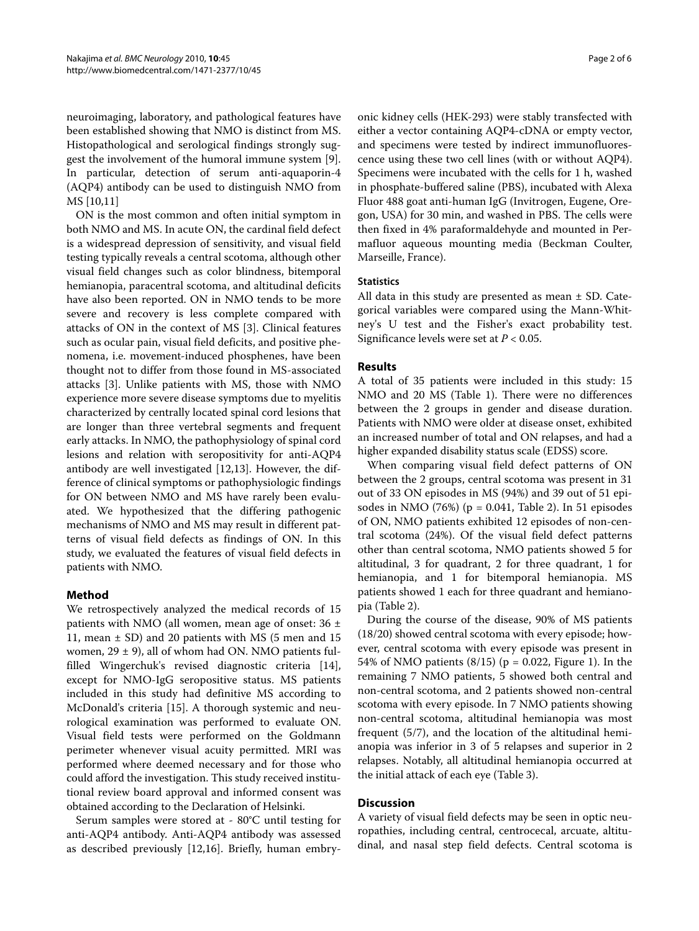neuroimaging, laboratory, and pathological features have been established showing that NMO is distinct from MS. Histopathological and serological findings strongly suggest the involvement of the humoral immune system [\[9](#page-5-7)]. In particular, detection of serum anti-aquaporin-4 (AQP4) antibody can be used to distinguish NMO from MS [\[10](#page-5-8)[,11](#page-5-9)]

ON is the most common and often initial symptom in both NMO and MS. In acute ON, the cardinal field defect is a widespread depression of sensitivity, and visual field testing typically reveals a central scotoma, although other visual field changes such as color blindness, bitemporal hemianopia, paracentral scotoma, and altitudinal deficits have also been reported. ON in NMO tends to be more severe and recovery is less complete compared with attacks of ON in the context of MS [\[3](#page-5-2)]. Clinical features such as ocular pain, visual field deficits, and positive phenomena, i.e. movement-induced phosphenes, have been thought not to differ from those found in MS-associated attacks [[3](#page-5-2)]. Unlike patients with MS, those with NMO experience more severe disease symptoms due to myelitis characterized by centrally located spinal cord lesions that are longer than three vertebral segments and frequent early attacks. In NMO, the pathophysiology of spinal cord lesions and relation with seropositivity for anti-AQP4 antibody are well investigated [\[12](#page-5-10)[,13](#page-5-11)]. However, the difference of clinical symptoms or pathophysiologic findings for ON between NMO and MS have rarely been evaluated. We hypothesized that the differing pathogenic mechanisms of NMO and MS may result in different patterns of visual field defects as findings of ON. In this study, we evaluated the features of visual field defects in patients with NMO.

# **Method**

We retrospectively analyzed the medical records of 15 patients with NMO (all women, mean age of onset: 36 ± 11, mean  $\pm$  SD) and 20 patients with MS (5 men and 15 women,  $29 \pm 9$ ), all of whom had ON. NMO patients fulfilled Wingerchuk's revised diagnostic criteria [\[14](#page-5-12)], except for NMO-IgG seropositive status. MS patients included in this study had definitive MS according to McDonald's criteria [\[15\]](#page-5-13). A thorough systemic and neurological examination was performed to evaluate ON. Visual field tests were performed on the Goldmann perimeter whenever visual acuity permitted. MRI was performed where deemed necessary and for those who could afford the investigation. This study received institutional review board approval and informed consent was obtained according to the Declaration of Helsinki.

Serum samples were stored at - 80°C until testing for anti-AQP4 antibody. Anti-AQP4 antibody was assessed as described previously [[12,](#page-5-10)[16\]](#page-5-14). Briefly, human embry-

onic kidney cells (HEK-293) were stably transfected with either a vector containing AQP4-cDNA or empty vector, and specimens were tested by indirect immunofluorescence using these two cell lines (with or without AQP4). Specimens were incubated with the cells for 1 h, washed in phosphate-buffered saline (PBS), incubated with Alexa Fluor 488 goat anti-human IgG (Invitrogen, Eugene, Oregon, USA) for 30 min, and washed in PBS. The cells were then fixed in 4% paraformaldehyde and mounted in Permafluor aqueous mounting media (Beckman Coulter, Marseille, France).

# **Statistics**

All data in this study are presented as mean ± SD. Categorical variables were compared using the Mann-Whitney's U test and the Fisher's exact probability test. Significance levels were set at  $P < 0.05$ .

# **Results**

A total of 35 patients were included in this study: 15 NMO and 20 MS (Table [1](#page-2-0)). There were no differences between the 2 groups in gender and disease duration. Patients with NMO were older at disease onset, exhibited an increased number of total and ON relapses, and had a higher expanded disability status scale (EDSS) score.

When comparing visual field defect patterns of ON between the 2 groups, central scotoma was present in 31 out of 33 ON episodes in MS (94%) and 39 out of 51 episodes in NMO (76%) (p = 0.041, Table 2). In 51 episodes of ON, NMO patients exhibited 12 episodes of non-central scotoma (24%). Of the visual field defect patterns other than central scotoma, NMO patients showed 5 for altitudinal, 3 for quadrant, 2 for three quadrant, 1 for hemianopia, and 1 for bitemporal hemianopia. MS patients showed 1 each for three quadrant and hemianopia (Table 2).

During the course of the disease, 90% of MS patients (18/20) showed central scotoma with every episode; however, central scotoma with every episode was present in 54% of NMO patients  $(8/15)$  (p = 0.022, Figure [1\)](#page-3-0). In the remaining 7 NMO patients, 5 showed both central and non-central scotoma, and 2 patients showed non-central scotoma with every episode. In 7 NMO patients showing non-central scotoma, altitudinal hemianopia was most frequent (5/7), and the location of the altitudinal hemianopia was inferior in 3 of 5 relapses and superior in 2 relapses. Notably, all altitudinal hemianopia occurred at the initial attack of each eye (Table 3).

# **Discussion**

A variety of visual field defects may be seen in optic neuropathies, including central, centrocecal, arcuate, altitudinal, and nasal step field defects. Central scotoma is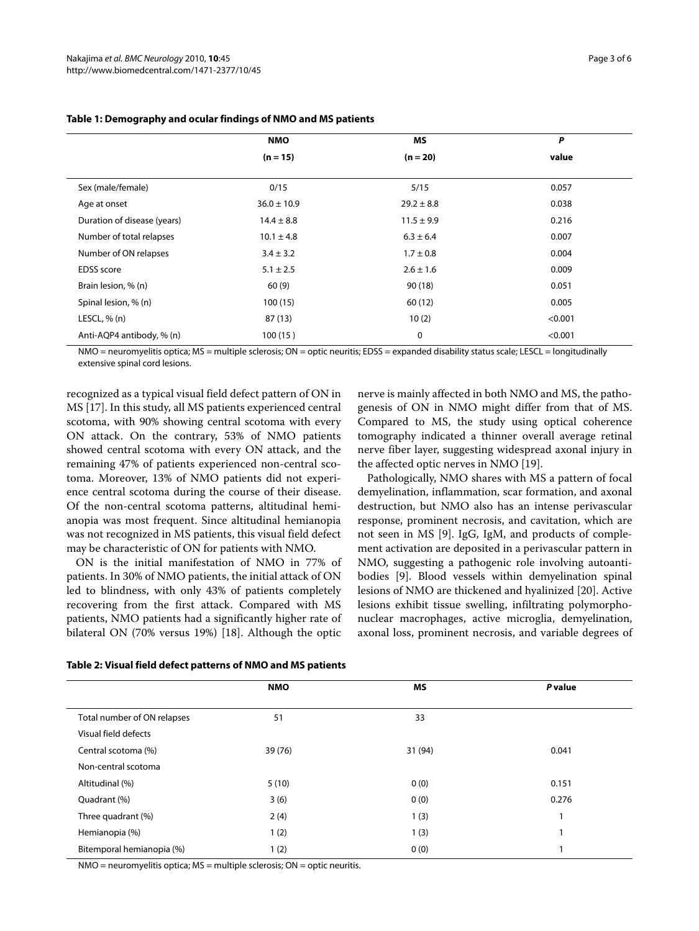|                             | <b>NMO</b>      | <b>MS</b>      | Ρ       |  |
|-----------------------------|-----------------|----------------|---------|--|
|                             | $(n = 15)$      | $(n = 20)$     | value   |  |
| Sex (male/female)           | 0/15            | 5/15           | 0.057   |  |
| Age at onset                | $36.0 \pm 10.9$ | $29.2 \pm 8.8$ | 0.038   |  |
| Duration of disease (years) | $14.4 \pm 8.8$  | $11.5 \pm 9.9$ | 0.216   |  |
| Number of total relapses    | $10.1 \pm 4.8$  | $6.3 \pm 6.4$  | 0.007   |  |
| Number of ON relapses       | $3.4 \pm 3.2$   | $1.7 \pm 0.8$  | 0.004   |  |
| <b>EDSS</b> score           | $5.1 \pm 2.5$   | $2.6 \pm 1.6$  | 0.009   |  |
| Brain lesion, % (n)         | 60(9)           | 90(18)         | 0.051   |  |
| Spinal lesion, % (n)        | 100(15)         | 60 (12)        | 0.005   |  |
| LESCL, $% (n)$              | 87(13)          | 10(2)          | < 0.001 |  |
| Anti-AQP4 antibody, % (n)   | 100(15)         | 0              | < 0.001 |  |

# <span id="page-2-0"></span>**Table 1: Demography and ocular findings of NMO and MS patients**

NMO = neuromyelitis optica; MS = multiple sclerosis; ON = optic neuritis; EDSS = expanded disability status scale; LESCL = longitudinally extensive spinal cord lesions.

recognized as a typical visual field defect pattern of ON in MS [\[17](#page-5-15)]. In this study, all MS patients experienced central scotoma, with 90% showing central scotoma with every ON attack. On the contrary, 53% of NMO patients showed central scotoma with every ON attack, and the remaining 47% of patients experienced non-central scotoma. Moreover, 13% of NMO patients did not experience central scotoma during the course of their disease. Of the non-central scotoma patterns, altitudinal hemianopia was most frequent. Since altitudinal hemianopia was not recognized in MS patients, this visual field defect may be characteristic of ON for patients with NMO.

ON is the initial manifestation of NMO in 77% of patients. In 30% of NMO patients, the initial attack of ON led to blindness, with only 43% of patients completely recovering from the first attack. Compared with MS patients, NMO patients had a significantly higher rate of bilateral ON (70% versus 19%) [[18\]](#page-5-16). Although the optic

nerve is mainly affected in both NMO and MS, the pathogenesis of ON in NMO might differ from that of MS. Compared to MS, the study using optical coherence tomography indicated a thinner overall average retinal nerve fiber layer, suggesting widespread axonal injury in the affected optic nerves in NMO [\[19](#page-5-17)].

Pathologically, NMO shares with MS a pattern of focal demyelination, inflammation, scar formation, and axonal destruction, but NMO also has an intense perivascular response, prominent necrosis, and cavitation, which are not seen in MS [[9\]](#page-5-7). IgG, IgM, and products of complement activation are deposited in a perivascular pattern in NMO, suggesting a pathogenic role involving autoantibodies [\[9](#page-5-7)]. Blood vessels within demyelination spinal lesions of NMO are thickened and hyalinized [[20\]](#page-5-18). Active lesions exhibit tissue swelling, infiltrating polymorphonuclear macrophages, active microglia, demyelination, axonal loss, prominent necrosis, and variable degrees of

|                                             | <b>NMO</b> | <b>MS</b> | P value |
|---------------------------------------------|------------|-----------|---------|
| Total number of ON relapses                 | 51         | 33        |         |
| Visual field defects<br>Central scotoma (%) | 39 (76)    | 31 (94)   | 0.041   |
| Non-central scotoma                         |            |           |         |
| Altitudinal (%)                             | 5(10)      | 0(0)      | 0.151   |
| Quadrant (%)                                | 3(6)       | 0(0)      | 0.276   |
| Three quadrant (%)                          | 2(4)       | 1(3)      |         |
| Hemianopia (%)                              | 1(2)       | 1(3)      | и       |
| Bitemporal hemianopia (%)                   | 1(2)       | 0(0)      | ٠       |

#### **Table 2: Visual field defect patterns of NMO and MS patients**

NMO = neuromyelitis optica; MS = multiple sclerosis; ON = optic neuritis.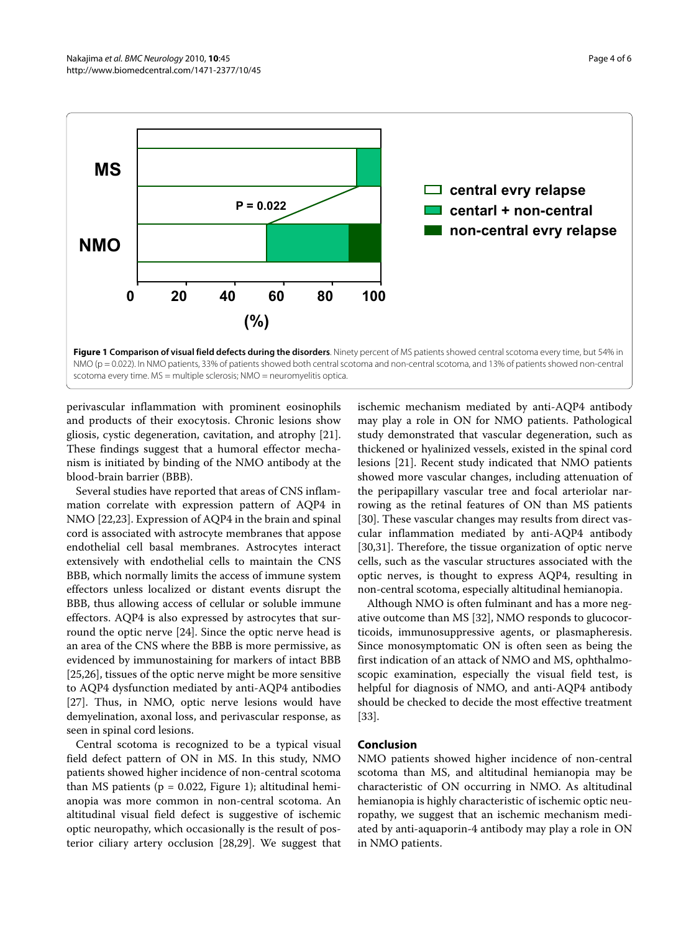<span id="page-3-0"></span>

scotoma every time. MS = multiple sclerosis; NMO = neuromyelitis optica.

perivascular inflammation with prominent eosinophils and products of their exocytosis. Chronic lesions show gliosis, cystic degeneration, cavitation, and atrophy [\[21](#page-5-19)]. These findings suggest that a humoral effector mechanism is initiated by binding of the NMO antibody at the blood-brain barrier (BBB).

Several studies have reported that areas of CNS inflammation correlate with expression pattern of AQP4 in NMO [\[22](#page-5-20)[,23](#page-5-21)]. Expression of AQP4 in the brain and spinal cord is associated with astrocyte membranes that appose endothelial cell basal membranes. Astrocytes interact extensively with endothelial cells to maintain the CNS BBB, which normally limits the access of immune system effectors unless localized or distant events disrupt the BBB, thus allowing access of cellular or soluble immune effectors. AQP4 is also expressed by astrocytes that surround the optic nerve [\[24\]](#page-5-22). Since the optic nerve head is an area of the CNS where the BBB is more permissive, as evidenced by immunostaining for markers of intact BBB [[25,](#page-5-23)[26\]](#page-5-24), tissues of the optic nerve might be more sensitive to AQP4 dysfunction mediated by anti-AQP4 antibodies [[27\]](#page-5-25). Thus, in NMO, optic nerve lesions would have demyelination, axonal loss, and perivascular response, as seen in spinal cord lesions.

Central scotoma is recognized to be a typical visual field defect pattern of ON in MS. In this study, NMO patients showed higher incidence of non-central scotoma than MS patients ( $p = 0.022$ , Figure [1\)](#page-3-0); altitudinal hemianopia was more common in non-central scotoma. An altitudinal visual field defect is suggestive of ischemic optic neuropathy, which occasionally is the result of posterior ciliary artery occlusion [[28,](#page-5-26)[29\]](#page-5-27). We suggest that ischemic mechanism mediated by anti-AQP4 antibody may play a role in ON for NMO patients. Pathological study demonstrated that vascular degeneration, such as thickened or hyalinized vessels, existed in the spinal cord lesions [[21](#page-5-19)]. Recent study indicated that NMO patients showed more vascular changes, including attenuation of the peripapillary vascular tree and focal arteriolar narrowing as the retinal features of ON than MS patients [[30\]](#page-5-28). These vascular changes may results from direct vascular inflammation mediated by anti-AQP4 antibody [[30,](#page-5-28)[31\]](#page-5-29). Therefore, the tissue organization of optic nerve cells, such as the vascular structures associated with the optic nerves, is thought to express AQP4, resulting in non-central scotoma, especially altitudinal hemianopia.

Although NMO is often fulminant and has a more negative outcome than MS [\[32\]](#page-5-30), NMO responds to glucocorticoids, immunosuppressive agents, or plasmapheresis. Since monosymptomatic ON is often seen as being the first indication of an attack of NMO and MS, ophthalmoscopic examination, especially the visual field test, is helpful for diagnosis of NMO, and anti-AQP4 antibody should be checked to decide the most effective treatment [[33\]](#page-5-31).

#### **Conclusion**

NMO patients showed higher incidence of non-central scotoma than MS, and altitudinal hemianopia may be characteristic of ON occurring in NMO. As altitudinal hemianopia is highly characteristic of ischemic optic neuropathy, we suggest that an ischemic mechanism mediated by anti-aquaporin-4 antibody may play a role in ON in NMO patients.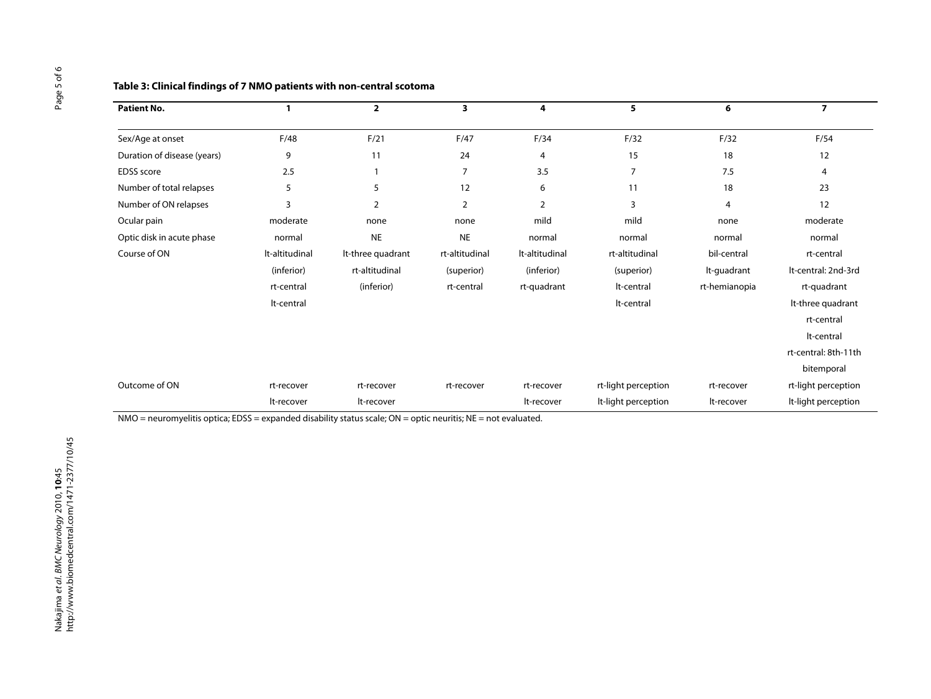| <b>Patient No.</b>          |                | $\overline{2}$    | 3              | 4              | 5                   | 6             | $\overline{7}$       |
|-----------------------------|----------------|-------------------|----------------|----------------|---------------------|---------------|----------------------|
| Sex/Age at onset            | F/48           | F/21              | F/47           | F/34           | F/32                | F/32          | F/54                 |
| Duration of disease (years) | 9              | 11                | 24             | 4              | 15                  | 18            | 12                   |
| <b>EDSS</b> score           | 2.5            |                   | 7              | 3.5            | 7                   | 7.5           | 4                    |
| Number of total relapses    | 5              | 5                 | 12             | 6              | 11                  | 18            | 23                   |
| Number of ON relapses       | 3              | 2                 | $\overline{2}$ | $\overline{2}$ | 3                   | 4             | 12                   |
| Ocular pain                 | moderate       | none              | none           | mild           | mild                | none          | moderate             |
| Optic disk in acute phase   | normal         | <b>NE</b>         | <b>NE</b>      | normal         | normal              | normal        | normal               |
| Course of ON                | It-altitudinal | It-three quadrant | rt-altitudinal | It-altitudinal | rt-altitudinal      | bil-central   | rt-central           |
|                             | (inferior)     | rt-altitudinal    | (superior)     | (inferior)     | (superior)          | It-quadrant   | It-central: 2nd-3rd  |
|                             | rt-central     | (inferior)        | rt-central     | rt-quadrant    | lt-central          | rt-hemianopia | rt-quadrant          |
|                             | It-central     |                   |                |                | lt-central          |               | It-three quadrant    |
|                             |                |                   |                |                |                     |               | rt-central           |
|                             |                |                   |                |                |                     |               | It-central           |
|                             |                |                   |                |                |                     |               | rt-central: 8th-11th |
|                             |                |                   |                |                |                     |               | bitemporal           |
| Outcome of ON               | rt-recover     | rt-recover        | rt-recover     | rt-recover     | rt-light perception | rt-recover    | rt-light perception  |
|                             | It-recover     | It-recover        |                | lt-recover     | It-light perception | It-recover    | It-light perception  |

# **Table 3: Clinical findings of 7 NMO patients with non-central scotoma**

NMO = neuromyelitis optica; EDSS = expanded disability status scale; ON = optic neuritis; NE = not evaluated.